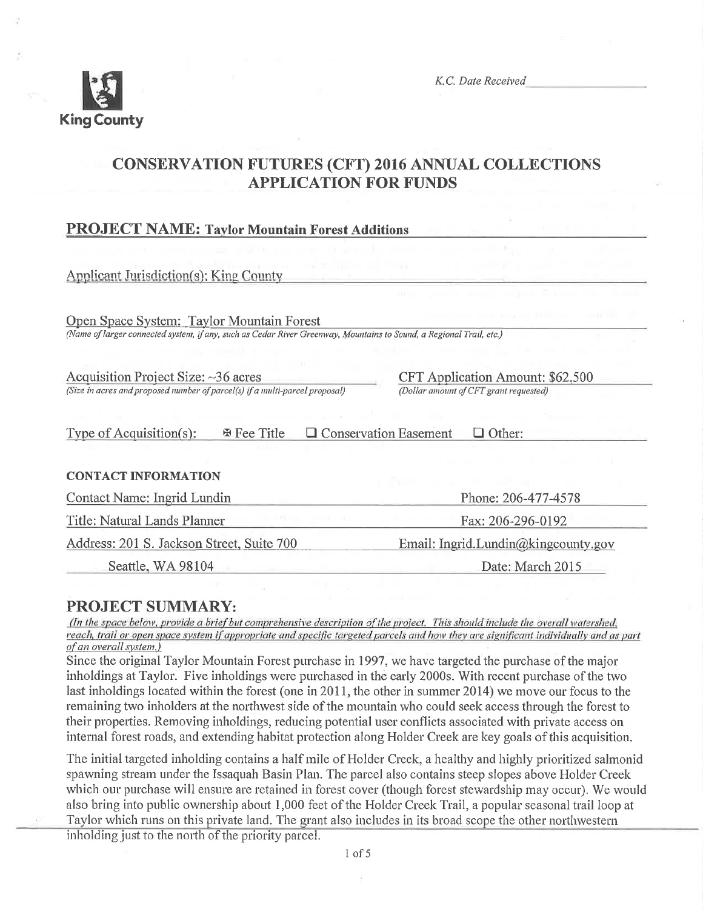

K.C. Date Received

# **CONSERVATION FUTURES (CFT) 2016 ANNUAL COLLECTIONS APPLICATION FOR FUNDS**

## **PROJECT NAME: Taylor Mountain Forest Additions**

| Applicant Jurisdiction(s): King County                                                                              |                                         |
|---------------------------------------------------------------------------------------------------------------------|-----------------------------------------|
|                                                                                                                     | $\mathbf{H}$                            |
| Open Space System: Taylor Mountain Forest                                                                           |                                         |
| (Name of larger connected system, if any, such as Cedar River Greenway, Mountains to Sound, a Regional Trail, etc.) |                                         |
|                                                                                                                     |                                         |
| Acquisition Project Size: $\sim$ 36 acres                                                                           | <b>CFT Application Amount: \$62,500</b> |
| (Size in acres and proposed number of parcel(s) if a multi-parcel proposal)                                         | (Dollar amount of CFT grant requested)  |
| Type of Acquisition(s):<br>田 Fee Title                                                                              | <b>Conservation Easement</b><br>Other:  |
| <b>CONTACT INFORMATION</b>                                                                                          |                                         |
| Contact Name: Ingrid Lundin                                                                                         | Phone: 206-477-4578                     |
| Title: Natural Lands Planner                                                                                        | Fax: 206-296-0192                       |
| Address: 201 S. Jackson Street, Suite 700                                                                           | Email: Ingrid.Lundin@kingcounty.gov     |
| Seattle, WA 98104                                                                                                   | Date: March 2015                        |

## **PROJECT SUMMARY:**

(In the space below, provide a brief but comprehensive description of the project. This should include the overall watershed, reach, trail or open space system if appropriate and specific targeted parcels and how they are significant individually and as part of an overall system.)

Since the original Taylor Mountain Forest purchase in 1997, we have targeted the purchase of the major inholdings at Taylor. Five inholdings were purchased in the early 2000s. With recent purchase of the two last inholdings located within the forest (one in 2011, the other in summer 2014) we move our focus to the remaining two inholders at the northwest side of the mountain who could seek access through the forest to their properties. Removing inholdings, reducing potential user conflicts associated with private access on internal forest roads, and extending habitat protection along Holder Creek are key goals of this acquisition.

The initial targeted inholding contains a half mile of Holder Creek, a healthy and highly prioritized salmonid spawning stream under the Issaquah Basin Plan. The parcel also contains steep slopes above Holder Creek which our purchase will ensure are retained in forest cover (though forest stewardship may occur). We would also bring into public ownership about 1,000 feet of the Holder Creek Trail, a popular seasonal trail loop at Taylor which runs on this private land. The grant also includes in its broad scope the other northwestern

inholding just to the north of the priority parcel.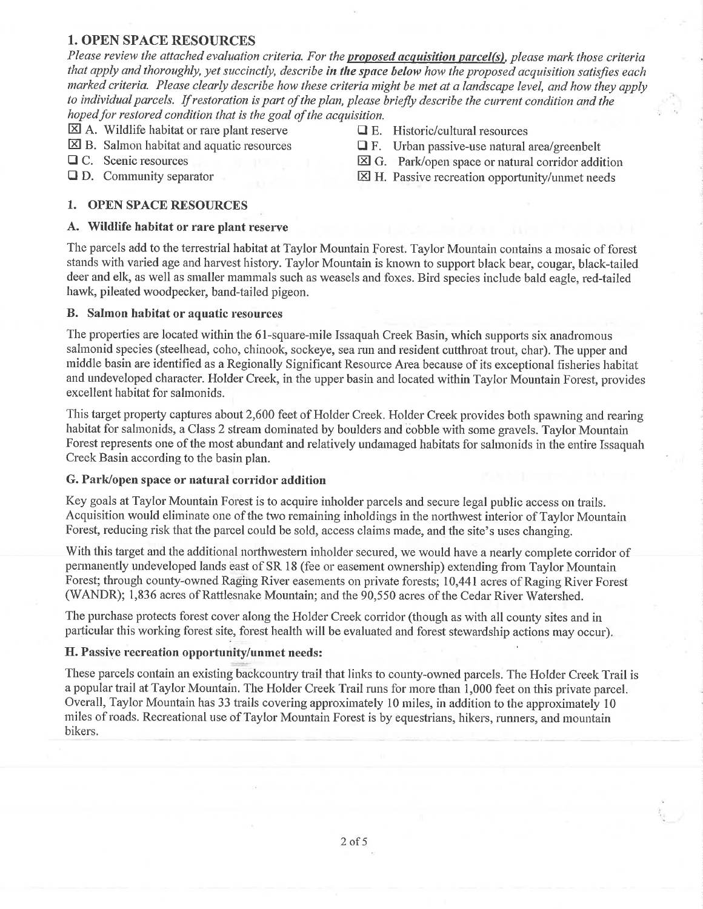## 1. OPEN SPACE RESOURCES

Please review the attached evaluation criteria. For the **proposed acquisition parcel(s)**, please mark those criteria that apply and thoroughly, yet succinctly, describe in the space below how the proposed acquisition satisfies each marked criteria. Please clearly describe how these criteria might be met at a landscape level, and how they apply to individual parcels. If restoration is part of the plan, please briefly describe the current condition and the hoped for restored condition that is the goal of the acquisition.

 $\boxtimes$  A. Wildlife habitat or rare plant reserve  $\Box$  E. Historic/cultural resources  $\Box$  E. Salmon habitat and aquatic resources  $\Box$  F. Urban passive-use natural

#### 1. OPEN SPACE RESOURCES

#### A. Wildlife habitat or rare plant reserve

The parcels add to the terrestrial habitat at Taylor Mountain Forest. Taylor Mountain contains a mosaic of forest stands with varied age and harvest history. Taylor Mountain is known to support black bear, cougar, black-tailed deer and elk, as well as smaller mammals such as weasels and foxes. Bird species include bald eagle, red-tailed hawk, pileated woodpecker, band-tailed pigeon.

#### B. Salmon habitat or aquatic resources

The properties are located within the 61-square-mile Issaquah Creek Basin, which supports six anadromous salmonid species (steelhead, coho, chinook, sockeye, sea run and resident cutthroat trout, char). The upper and rniddle basin are identified as a Regionally Significant Resource Arca because of its exceptional fisheries habitat and undeveloped character. Holder Creek, in the upper basin and located within Taylor Mountain Forest, provides excellent habitat for salmonids.

This target property captures about 2,600 feet of Holder Creek. Holder Creek provides both spawning and rearing habitat for salmonids, a Class 2 stream dominated by boulders and cobble with some gravels. Taylor Mountain Forest represents one of the most abundant and relatively undamaged habitats for salmonids in the entire Issaquah Creek Basin according to the basin plan.

#### G. Park/open space or natural corridor addition

Key goals at Taylor Mountain Forest is to acquire inholder parcels and secure legal public access on trails. Acquisition would eliminate one of the two remaining inholdings in the northwest interior of Taylor Mountain Forest, reducing risk that the parcel could be sold, access claims made, and the site's uses changing.

With this target and the additional northwestern inholder secured, we would have a nearly complete corridor of permanently undeveloped lands east of SR 18 (fee or easement ownership) extending from Taylor Mountain Forest; through county-owned Raging River easements on private forests; 10,441 acres of Raging River Forest (WANDR); 1,836 acres of Rattlesnake Mountain; and the 90,550 acres of the Cedar River Watershed.

The purchase protects forest cover along the Holder Creek corridor (though as with all county sites and in particular this working forest site, forest health will be evaluated and forest stewardship actions may occur).

### H. Passive recreation opportunity/unmet needs:

These parcels contain an existing backcountry trail that links to county-owned parcels. The Holder Creek Trail is a popular trail at Taylor Mountain. The Holder Creek Trail runs for more than 1,000 feet on this private parcel. Overall, Taylor Mountain has 33 trails covering approximately 10 miles, in addition to the approximately 10 miles of roads. Recreational use of Taylor Mountain Forest is by equestrians, hikers, runners, and mountain bikers.

2of5

- 
- $\boxtimes$  B. Salmon habitat and aquatic resources  $\Box$  F. Urban passive-use natural area/greenbelt  $\Box$  C. Scenic resources  $\boxtimes$  G. Park/onen space or natural corridor addi
- $\Box$  C. Scenic resources  $\boxtimes$  G. Park/open space or natural corridor addition  $\Box$  D. Community separator  $\boxtimes$  H. Passive recreation opportunity/unmet needs
	- $\boxtimes$  H. Passive recreation opportunity/unmet needs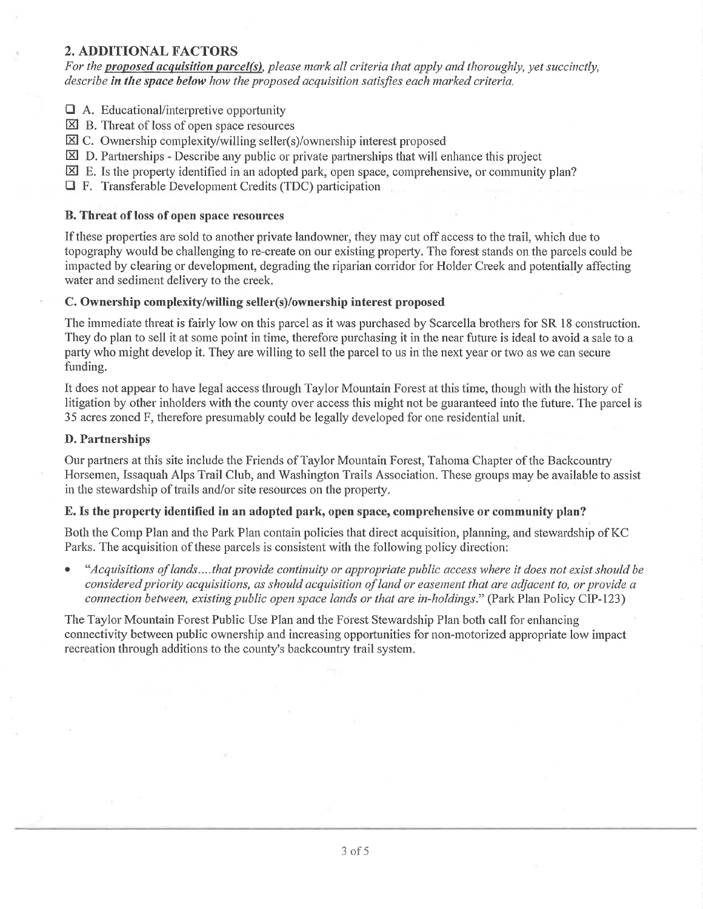## 2. ADDITIONAL FACTORS

For the proposed acquisition parcel(s), please mark all criteria that apply and thoroughly, yet succinctly, describe in the space below how the proposed acquisition satisfies each marked criteria.

 $\Box$  A. Educational/interpretive opportunity

- $\boxtimes$  B. Threat of loss of open space resources
- $\boxtimes$  C. Ownership complexity/willing seller(s)/ownership interest proposed
- $\boxtimes$  D. Partnerships Describe any public or private partnerships that will enhance this project
- $\boxtimes$  E. Is the property identified in an adopted park, open space, comprehensive, or community plan?
- $\Box$  F. Transferable Development Credits (TDC) participation

## B. Threat of loss of open space resources

If these properties are sold to another private landowner, they may cut off access to the trail, which due to topography would be challenging to re-create on our existing property. The forest stands on the parcels could be impacted by clearing or development, degrading the riparian corridor for Holder Creek and potentially affecting water and sediment delivery to the creek.

### C. Ownership complexity/willing seller(s)/ownership interest proposed

The immediate threat is fairly low on this parcel as it was purchased by Scarcella brothers for SR 18 construction. They do plan to sell it at some point in time, therefore purchasing it in the near future is ideal to avoid a sale to a party who might develop it. They are willing to sell the parcel to us in the next year or two as we can secure funding.

It does not appear to have legal access through Taylor Mountain Forest at this time, though with the history of litigation by other inholders with the county over access this might not be guaranteed into the future. The parcel is 35 acres zoned F, therefore presumably could be legally developed for one residential unit.

## D. Partnerships

Our partners at this site include the Friends of Taylor Mountain Forcst, Tahoma Chapter of the Backcountry Horsemen, Issaquah Alps Trail Club, and Washington Trails Association. These groups may be available to assist in the stewardship of trails and/or site resources on the property.

## E. Is the property identified in an adopted park, open space, comprehensive or community plan?

Both the Comp Plan and the Park Plan contain policies that direct acquisition, planning, and stewardship of KC Parks. The acquisition of these parcels is consistent with the following policy direction:

"Acquisitions of lands....that provide continuity or appropriate public access where it does not exist should be considered priority acquisitions, as should acquisition of land or easement that are adjacent to, or provide a connection between, existing public open space lands or that are in-holdings." (Park Plan Policy CIP-123)

The Taylor Mountain Forest Public Use Plan and the Forest Stewardship Plan both call for enhancing connectivity between public ownership and increasing opportunities for non-motorized appropriate low impact recreation through additions to the county's backcountry trail system.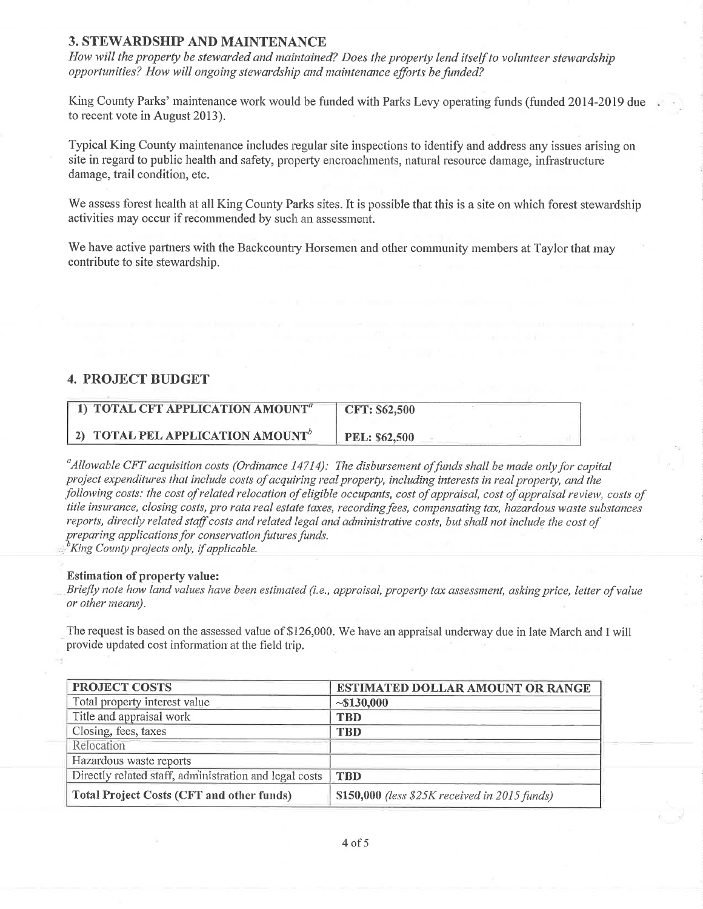### **3. STEWARDSHIP AND MAINTENANCE**

How will the property be stewarded and maintained? Does the property lend itself to volunteer stewardship opportunities? How will ongoing stewardship and maintenance efforts be funded?

King County Parks' maintenance work would be funded with Parks Levy operating funds (funded 2014-2019 due to recent vote in August 2013).

Typical King County maintenance includes regular site inspections to identify and address any issues arising on site in regard to public health and safety, property encroachments, natural resource damage, infrastructure damage, trail condition, etc.

We assess forest health at all King County Parks sites. It is possible that this is a site on which forest stewardship activities may occur if recommended by such an assessment.

We have active partners with the Backcountry Horsemen and other community members at Taylor that may contribute to site stewardship.

### **4. PROJECT BUDGET**

| <b>1) TOTAL CFT APPLICATION AMOUNT</b> <sup><math>a</math></sup> | <b>CFT: \$62,500</b> |
|------------------------------------------------------------------|----------------------|
| 2) TOTAL PEL APPLICATION AMOUNT <sup>o</sup>                     | <b>PEL: \$62,500</b> |

 $\mu$  allowable CFT acquisition costs (Ordinance 14714). The disbursement of funds shall be made only for capital project expenditures that include costs of acquiring real property, including interests in real property, and the following costs: the cost of related relocation of eligible occupants, cost of appraisal, cost of appraisal review, costs of title insurance, closing costs, pro rata real estate taxes, recording fees, compensating tax, hazardous waste substances reports, directly related staff costs and related legal and administrative costs, but shall not include the cost of preparing applications for conservation futures funds.

<sup>b</sup>King County projects only, if applicable.

#### **Estimation of property value:**

Briefly note how land values have been estimated (i.e., appraisal, property tax assessment, asking price, letter of value or other means).

The request is based on the assessed value of \$126,000. We have an appraisal underway due in late March and I will provide updated cost information at the field trip.

| <b>PROJECT COSTS</b>                                   | <b>ESTIMATED DOLLAR AMOUNT OR RANGE</b>       |
|--------------------------------------------------------|-----------------------------------------------|
| Total property interest value                          | ~130,000                                      |
| Title and appraisal work                               | <b>TBD</b>                                    |
| Closing, fees, taxes                                   | <b>TBD</b>                                    |
| Relocation                                             |                                               |
| Hazardous waste reports                                |                                               |
| Directly related staff, administration and legal costs | <b>TBD</b>                                    |
| <b>Total Project Costs (CFT and other funds)</b>       | \$150,000 (less \$25K received in 2015 funds) |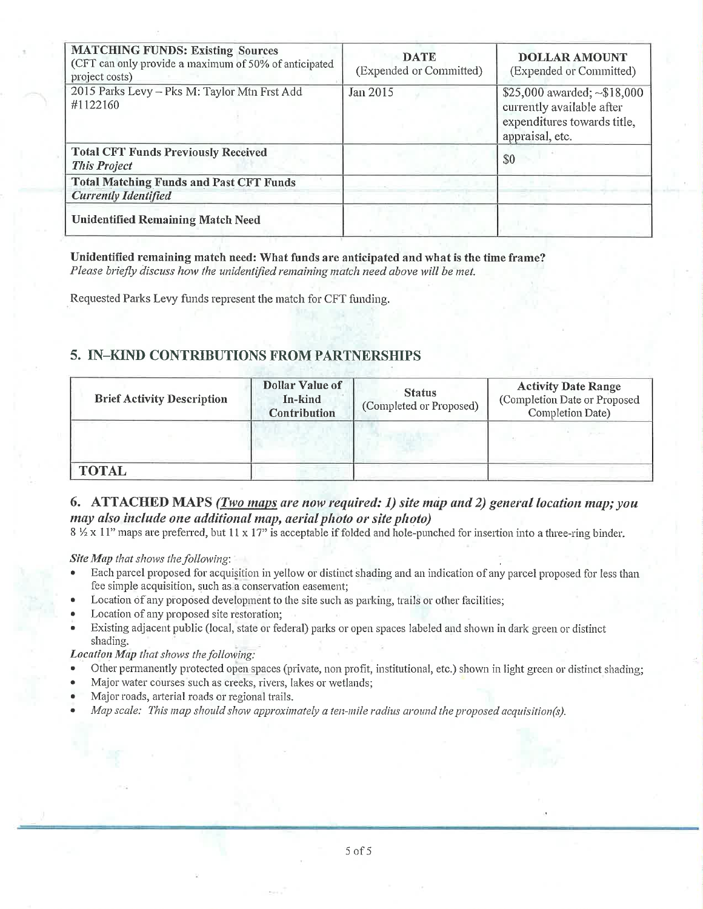| <b>MATCHING FUNDS: Existing Sources</b><br>(CFT can only provide a maximum of 50% of anticipated<br>project costs) | <b>DATE</b><br>(Expended or Committed) | <b>DOLLAR AMOUNT</b><br>(Expended or Committed)                                                                  |
|--------------------------------------------------------------------------------------------------------------------|----------------------------------------|------------------------------------------------------------------------------------------------------------------|
| 2015 Parks Levy - Pks M: Taylor Mtn Frst Add<br>#1122160                                                           | Jan 2015                               | \$25,000 awarded; $\sim$ \$18,000<br>currently available after<br>expenditures towards title,<br>appraisal, etc. |
| <b>Total CFT Funds Previously Received</b><br><b>This Project</b>                                                  |                                        | \$0                                                                                                              |
| <b>Total Matching Funds and Past CFT Funds</b><br><b>Currently Identified</b>                                      |                                        |                                                                                                                  |
| <b>Unidentified Remaining Match Need</b>                                                                           |                                        |                                                                                                                  |

Unidentified remaining match need: What funds are anticipated and what is the time frame? Please briefly discuss how the unidentified remaining match need above will be met.

Requested Parks Levy funds represent the match for CFT funding.

## 5. IN-KIND CONTRIBUTIONS FROM PARTNERSHIPS

| <b>Brief Activity Description</b> | <b>Dollar Value of</b><br>In-kind<br><b>Contribution</b> | <b>Status</b><br>(Completed or Proposed) | <b>Activity Date Range</b><br>(Completion Date or Proposed<br>Completion Date) |
|-----------------------------------|----------------------------------------------------------|------------------------------------------|--------------------------------------------------------------------------------|
|                                   |                                                          |                                          |                                                                                |
| <b>TOTAL</b>                      |                                                          |                                          |                                                                                |

## 6. ATTACHED MAPS (Two maps are now required: 1) site map and 2) general location map; you may also include one additional map, aerial photo or site photo)

8 1/2 x 11" maps are preferred, but 11 x 17" is acceptable if folded and hole-punched for insertion into a three-ring binder.

Site Map that shows the following:

- Each parcel proposed for acquisition in yellow or distinct shading and an indication of any parcel proposed for less than fee simple acquisition, such as a conservation easement;
- Location of any proposed development to the site such as parking, trails or other facilities;
- Location of any proposed site restoration;
- Existing adjacent public (local, state or federal) parks or open spaces labeled and shown in dark green or distinct shading.

Location Map that shows the following:

- Other permanently protected open spaces (private, non profit, institutional, etc.) shown in light green or distinct shading;  $\bullet$
- Major water courses such as creeks, rivers, lakes or wetlands;
- Major roads, arterial roads or regional trails.
- Map scale: This map should show approximately a ten-mile radius around the proposed acquisition(s).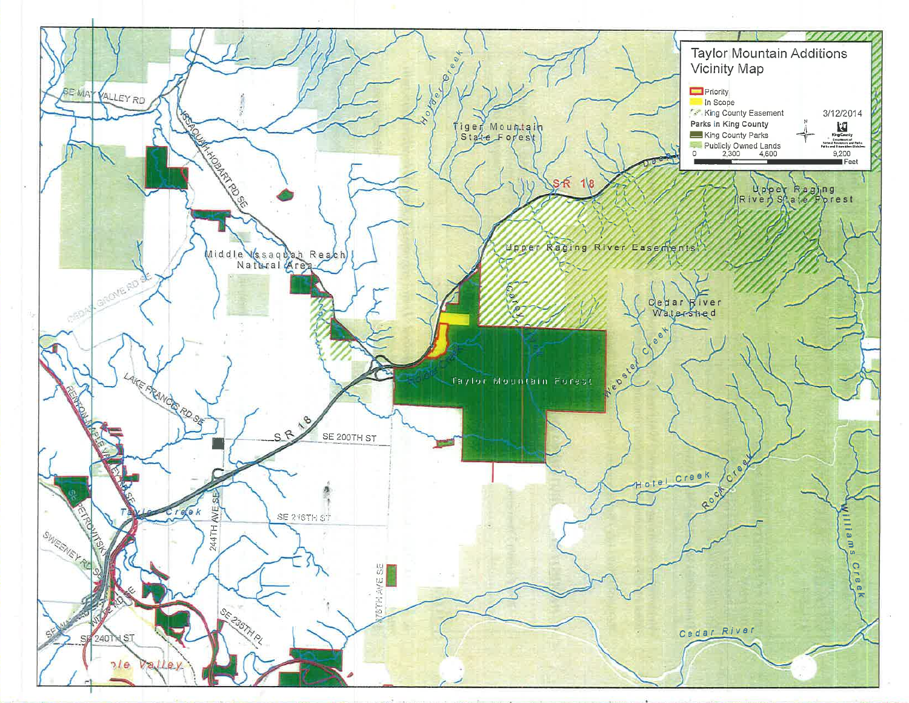